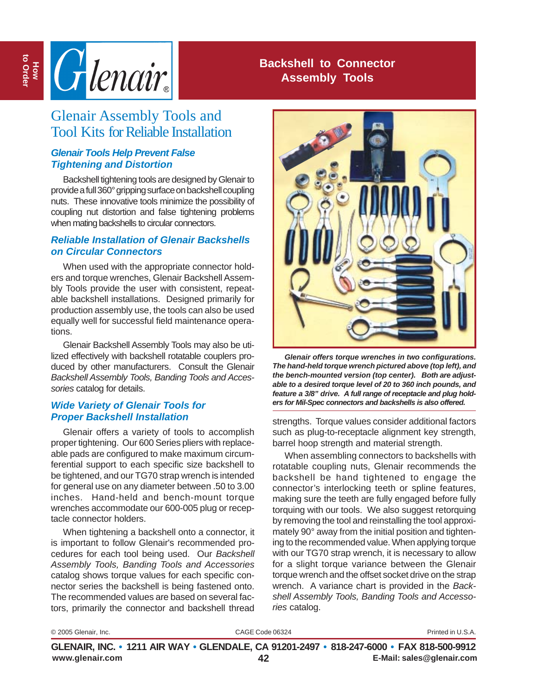

## **Backshell to Connector Assembly Tools**

# Glenair Assembly Tools and Tool Kits for Reliable Installation

#### *Glenair Tools Help Prevent False Tightening and Distortion*

Backshell tightening tools are designed by Glenair to provide a full 360° gripping surface on backshell coupling nuts. These innovative tools minimize the possibility of coupling nut distortion and false tightening problems when mating backshells to circular connectors.

#### *Reliable Installation of Glenair Backshells on Circular Connectors*

When used with the appropriate connector holders and torque wrenches, Glenair Backshell Assembly Tools provide the user with consistent, repeatable backshell installations. Designed primarily for production assembly use, the tools can also be used equally well for successful field maintenance operations.

Glenair Backshell Assembly Tools may also be utilized effectively with backshell rotatable couplers produced by other manufacturers. Consult the Glenair *Backshell Assembly Tools, Banding Tools and Accessories* catalog for details.

#### *Wide Variety of Glenair Tools for Proper Backshell Installation*

Glenair offers a variety of tools to accomplish proper tightening. Our 600 Series pliers with replaceable pads are configured to make maximum circumferential support to each specific size backshell to be tightened, and our TG70 strap wrench is intended for general use on any diameter between .50 to 3.00 inches. Hand-held and bench-mount torque wrenches accommodate our 600-005 plug or receptacle connector holders.

When tightening a backshell onto a connector, it is important to follow Glenair's recommended procedures for each tool being used. Our *Backshell Assembly Tools, Banding Tools and Accessories* catalog shows torque values for each specific connector series the backshell is being fastened onto. The recommended values are based on several factors, primarily the connector and backshell thread



*Glenair offers torque wrenches in two configurations. The hand-held torque wrench pictured above (top left), and the bench-mounted version (top center). Both are adjustable to a desired torque level of 20 to 360 inch pounds, and feature a 3/8" drive. A full range of receptacle and plug holders for Mil-Spec connectors and backshells is also offered.*

strengths. Torque values consider additional factors such as plug-to-receptacle alignment key strength, barrel hoop strength and material strength.

When assembling connectors to backshells with rotatable coupling nuts, Glenair recommends the backshell be hand tightened to engage the connector's interlocking teeth or spline features, making sure the teeth are fully engaged before fully torquing with our tools. We also suggest retorquing by removing the tool and reinstalling the tool approximately 90° away from the initial position and tightening to the recommended value. When applying torque with our TG70 strap wrench, it is necessary to allow for a slight torque variance between the Glenair torque wrench and the offset socket drive on the strap wrench. A variance chart is provided in the *Backshell Assembly Tools, Banding Tools and Accessories* catalog.

© 2005 Glenair, Inc. CAGE Code 06324 Printed in U.S.A.